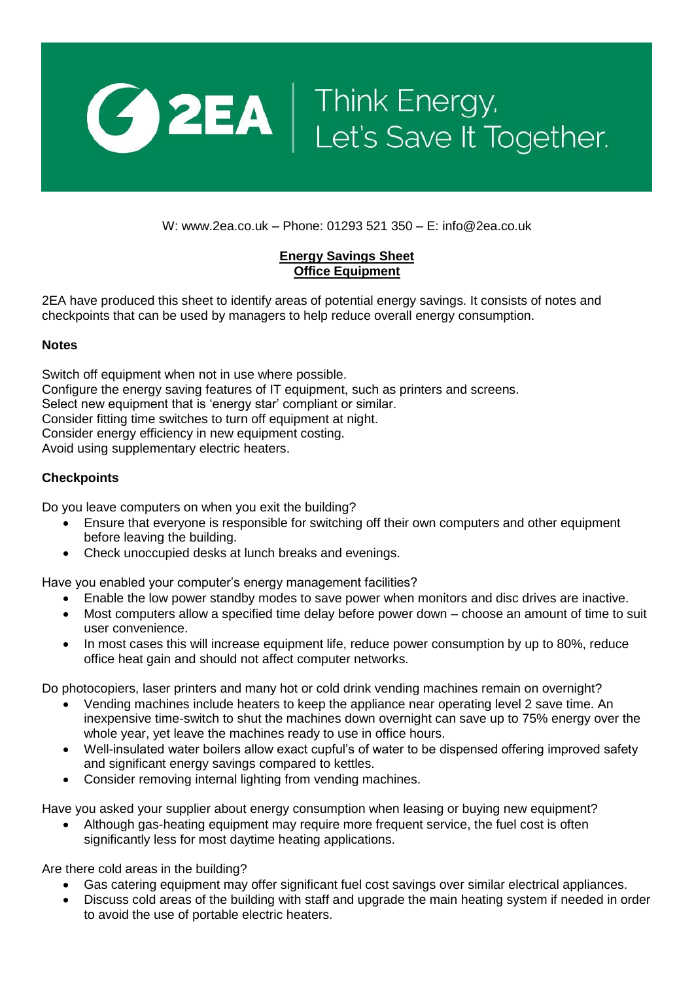

W: www.2ea.co.uk – Phone: 01293 521 350 – E: info@2ea.co.uk

## **Energy Savings Sheet Office Equipment**

2EA have produced this sheet to identify areas of potential energy savings. It consists of notes and checkpoints that can be used by managers to help reduce overall energy consumption.

## **Notes**

Switch off equipment when not in use where possible. Configure the energy saving features of IT equipment, such as printers and screens. Select new equipment that is 'energy star' compliant or similar. Consider fitting time switches to turn off equipment at night. Consider energy efficiency in new equipment costing. Avoid using supplementary electric heaters.

## **Checkpoints**

Do you leave computers on when you exit the building?

- Ensure that everyone is responsible for switching off their own computers and other equipment before leaving the building.
- Check unoccupied desks at lunch breaks and evenings.

Have you enabled your computer's energy management facilities?

- Enable the low power standby modes to save power when monitors and disc drives are inactive.
- Most computers allow a specified time delay before power down choose an amount of time to suit user convenience.
- In most cases this will increase equipment life, reduce power consumption by up to 80%, reduce office heat gain and should not affect computer networks.

Do photocopiers, laser printers and many hot or cold drink vending machines remain on overnight?

- Vending machines include heaters to keep the appliance near operating level 2 save time. An inexpensive time-switch to shut the machines down overnight can save up to 75% energy over the whole year, yet leave the machines ready to use in office hours.
- Well-insulated water boilers allow exact cupful's of water to be dispensed offering improved safety and significant energy savings compared to kettles.
- Consider removing internal lighting from vending machines.

Have you asked your supplier about energy consumption when leasing or buying new equipment?

 Although gas-heating equipment may require more frequent service, the fuel cost is often significantly less for most daytime heating applications.

Are there cold areas in the building?

- Gas catering equipment may offer significant fuel cost savings over similar electrical appliances.
- Discuss cold areas of the building with staff and upgrade the main heating system if needed in order to avoid the use of portable electric heaters.